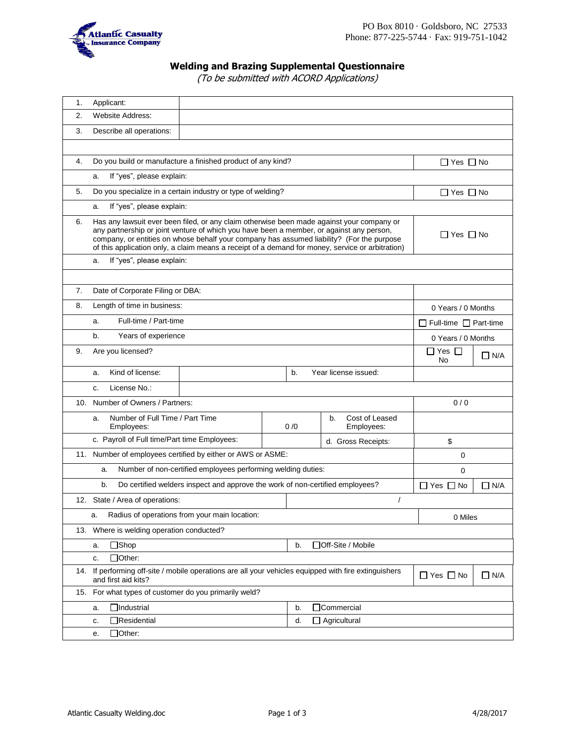

# **Welding and Brazing Supplemental Questionnaire**

(To be submitted with ACORD Applications)

| 1.  | Applicant:                                                                                                                                                     |                                                                                                                                                                                                                                                                                                                                                                                        |  |     |                                    |                      |                            |  |
|-----|----------------------------------------------------------------------------------------------------------------------------------------------------------------|----------------------------------------------------------------------------------------------------------------------------------------------------------------------------------------------------------------------------------------------------------------------------------------------------------------------------------------------------------------------------------------|--|-----|------------------------------------|----------------------|----------------------------|--|
| 2.  | <b>Website Address:</b>                                                                                                                                        |                                                                                                                                                                                                                                                                                                                                                                                        |  |     |                                    |                      |                            |  |
| 3.  | Describe all operations:                                                                                                                                       |                                                                                                                                                                                                                                                                                                                                                                                        |  |     |                                    |                      |                            |  |
|     |                                                                                                                                                                |                                                                                                                                                                                                                                                                                                                                                                                        |  |     |                                    |                      |                            |  |
| 4.  |                                                                                                                                                                | Do you build or manufacture a finished product of any kind?                                                                                                                                                                                                                                                                                                                            |  |     |                                    |                      | $\Box$ Yes $\Box$ No       |  |
|     | If "yes", please explain:<br>a.                                                                                                                                |                                                                                                                                                                                                                                                                                                                                                                                        |  |     |                                    |                      |                            |  |
| 5.  |                                                                                                                                                                | Do you specialize in a certain industry or type of welding?                                                                                                                                                                                                                                                                                                                            |  |     |                                    | $\Box$ Yes $\Box$ No |                            |  |
|     | If "yes", please explain:<br>a.                                                                                                                                |                                                                                                                                                                                                                                                                                                                                                                                        |  |     |                                    |                      |                            |  |
| 6.  |                                                                                                                                                                | Has any lawsuit ever been filed, or any claim otherwise been made against your company or<br>any partnership or joint venture of which you have been a member, or against any person,<br>company, or entities on whose behalf your company has assumed liability? (For the purpose<br>of this application only, a claim means a receipt of a demand for money, service or arbitration) |  |     |                                    |                      | $\Box$ Yes $\Box$ No       |  |
|     | If "yes", please explain:<br>a.                                                                                                                                |                                                                                                                                                                                                                                                                                                                                                                                        |  |     |                                    |                      |                            |  |
|     |                                                                                                                                                                |                                                                                                                                                                                                                                                                                                                                                                                        |  |     |                                    |                      |                            |  |
| 7.  | Date of Corporate Filing or DBA:                                                                                                                               |                                                                                                                                                                                                                                                                                                                                                                                        |  |     |                                    |                      |                            |  |
| 8.  | Length of time in business:                                                                                                                                    |                                                                                                                                                                                                                                                                                                                                                                                        |  |     |                                    |                      | 0 Years / 0 Months         |  |
|     | Full-time / Part-time<br>a.                                                                                                                                    |                                                                                                                                                                                                                                                                                                                                                                                        |  |     |                                    |                      | Full-time $\Box$ Part-time |  |
|     | b.<br>Years of experience                                                                                                                                      |                                                                                                                                                                                                                                                                                                                                                                                        |  |     |                                    |                      | 0 Years / 0 Months         |  |
| 9.  | Are you licensed?                                                                                                                                              |                                                                                                                                                                                                                                                                                                                                                                                        |  |     | $\Box$ Yes $\Box$<br>No            | $\Box$ N/A           |                            |  |
|     | Kind of license:<br>a.                                                                                                                                         |                                                                                                                                                                                                                                                                                                                                                                                        |  | b.  | Year license issued:               |                      |                            |  |
|     | License No.:<br>c.                                                                                                                                             |                                                                                                                                                                                                                                                                                                                                                                                        |  |     |                                    |                      |                            |  |
| 10. | Number of Owners / Partners:                                                                                                                                   |                                                                                                                                                                                                                                                                                                                                                                                        |  |     |                                    | 0/0                  |                            |  |
|     | Number of Full Time / Part Time<br>a.<br>Employees:                                                                                                            |                                                                                                                                                                                                                                                                                                                                                                                        |  | 0/0 | Cost of Leased<br>b.<br>Employees: |                      |                            |  |
|     | c. Payroll of Full time/Part time Employees:                                                                                                                   |                                                                                                                                                                                                                                                                                                                                                                                        |  |     | d. Gross Receipts:                 |                      | \$                         |  |
|     |                                                                                                                                                                | 11. Number of employees certified by either or AWS or ASME:                                                                                                                                                                                                                                                                                                                            |  |     | $\mathbf 0$                        |                      |                            |  |
|     | a.                                                                                                                                                             | Number of non-certified employees performing welding duties:                                                                                                                                                                                                                                                                                                                           |  |     |                                    |                      | 0                          |  |
|     | Do certified welders inspect and approve the work of non-certified employees?<br>b.                                                                            |                                                                                                                                                                                                                                                                                                                                                                                        |  |     |                                    | $\Box$ Yes $\Box$ No | $\Box$ N/A                 |  |
|     | 12. State / Area of operations:                                                                                                                                |                                                                                                                                                                                                                                                                                                                                                                                        |  |     |                                    | $\prime$             |                            |  |
|     | а.                                                                                                                                                             | Radius of operations from your main location:                                                                                                                                                                                                                                                                                                                                          |  |     |                                    |                      | 0 Miles                    |  |
|     | 13. Where is welding operation conducted?                                                                                                                      |                                                                                                                                                                                                                                                                                                                                                                                        |  |     |                                    |                      |                            |  |
|     | $\Box$ Shop<br>a.                                                                                                                                              |                                                                                                                                                                                                                                                                                                                                                                                        |  | b.  | □Off-Site / Mobile                 |                      |                            |  |
|     | $\Box$ Other:<br>c.                                                                                                                                            |                                                                                                                                                                                                                                                                                                                                                                                        |  |     |                                    |                      |                            |  |
| 14. | If performing off-site / mobile operations are all your vehicles equipped with fire extinguishers<br>$\Box$ Yes $\Box$ No<br>$\Box$ N/A<br>and first aid kits? |                                                                                                                                                                                                                                                                                                                                                                                        |  |     |                                    |                      |                            |  |
|     | 15. For what types of customer do you primarily weld?                                                                                                          |                                                                                                                                                                                                                                                                                                                                                                                        |  |     |                                    |                      |                            |  |
|     | $\Box$ Industrial<br>a.                                                                                                                                        |                                                                                                                                                                                                                                                                                                                                                                                        |  | b.  | □Commercial                        |                      |                            |  |
|     | Residential<br>c.                                                                                                                                              |                                                                                                                                                                                                                                                                                                                                                                                        |  | d.  | $\Box$ Agricultural                |                      |                            |  |
|     | $\Box$ Other:<br>е.                                                                                                                                            |                                                                                                                                                                                                                                                                                                                                                                                        |  |     |                                    |                      |                            |  |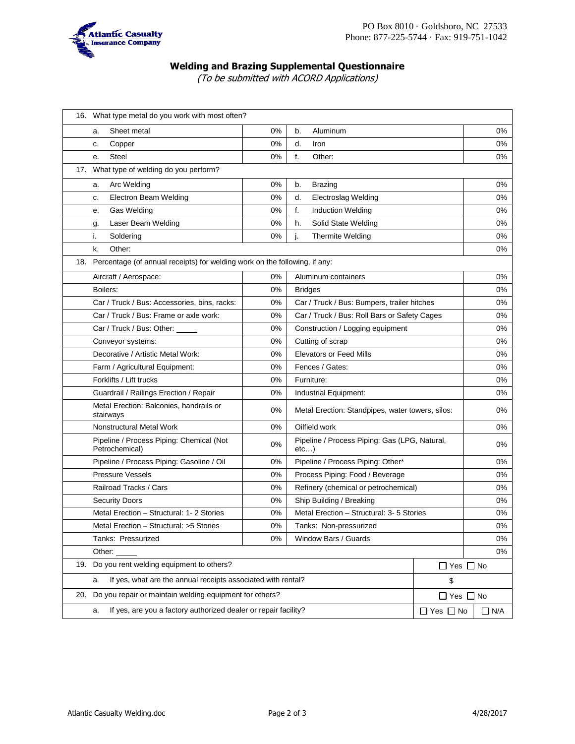

## **Welding and Brazing Supplemental Questionnaire**

(To be submitted with ACORD Applications)

|                                                                                | 16. What type metal do you work with most often?                      |                      |                                                           |    |    |  |  |  |
|--------------------------------------------------------------------------------|-----------------------------------------------------------------------|----------------------|-----------------------------------------------------------|----|----|--|--|--|
|                                                                                | Sheet metal<br>а.                                                     | 0%                   | b.<br>Aluminum                                            |    | 0% |  |  |  |
|                                                                                | Copper<br>c.                                                          | 0%                   | d.<br>Iron                                                |    | 0% |  |  |  |
|                                                                                | Steel<br>е.                                                           | 0%                   | f.<br>Other:                                              |    | 0% |  |  |  |
|                                                                                | 17. What type of welding do you perform?                              |                      |                                                           |    |    |  |  |  |
|                                                                                | Arc Welding<br>a.                                                     | 0%                   | b.<br><b>Brazing</b>                                      |    | 0% |  |  |  |
|                                                                                | Electron Beam Welding<br>c.                                           | 0%                   | d.<br>Electroslag Welding                                 |    | 0% |  |  |  |
|                                                                                | Gas Welding<br>е.                                                     | 0%                   | f.<br><b>Induction Welding</b>                            |    | 0% |  |  |  |
|                                                                                | Laser Beam Welding<br>g.                                              | 0%                   | h.<br>Solid State Welding                                 |    | 0% |  |  |  |
|                                                                                | i.<br>Soldering                                                       | 0%                   | Thermite Welding                                          |    | 0% |  |  |  |
|                                                                                | k.<br>Other:                                                          |                      |                                                           |    |    |  |  |  |
| 18. Percentage (of annual receipts) for welding work on the following, if any: |                                                                       |                      |                                                           |    |    |  |  |  |
|                                                                                | Aircraft / Aerospace:                                                 |                      | 0%<br>Aluminum containers                                 |    | 0% |  |  |  |
|                                                                                | Boilers:                                                              | 0%                   | <b>Bridges</b>                                            |    | 0% |  |  |  |
|                                                                                | Car / Truck / Bus: Accessories, bins, racks:                          | 0%                   | Car / Truck / Bus: Bumpers, trailer hitches               |    | 0% |  |  |  |
|                                                                                | Car / Truck / Bus: Frame or axle work:                                | 0%                   | Car / Truck / Bus: Roll Bars or Safety Cages              |    | 0% |  |  |  |
|                                                                                | Car / Truck / Bus: Other:                                             | 0%                   | Construction / Logging equipment                          | 0% |    |  |  |  |
|                                                                                | Conveyor systems:                                                     | 0%                   | Cutting of scrap                                          | 0% |    |  |  |  |
|                                                                                | Decorative / Artistic Metal Work:                                     | 0%                   | <b>Elevators or Feed Mills</b>                            | 0% |    |  |  |  |
|                                                                                | Farm / Agricultural Equipment:                                        | 0%                   | Fences / Gates:                                           | 0% |    |  |  |  |
|                                                                                | Forklifts / Lift trucks                                               | 0%                   | Furniture:                                                | 0% |    |  |  |  |
|                                                                                | Guardrail / Railings Erection / Repair                                | 0%                   | Industrial Equipment:                                     |    | 0% |  |  |  |
|                                                                                | Metal Erection: Balconies, handrails or<br>stairways                  | 0%                   | Metal Erection: Standpipes, water towers, silos:          | 0% |    |  |  |  |
|                                                                                | Nonstructural Metal Work                                              | 0%                   | Oilfield work                                             |    | 0% |  |  |  |
|                                                                                | Pipeline / Process Piping: Chemical (Not<br>Petrochemical)            | 0%                   | Pipeline / Process Piping: Gas (LPG, Natural,<br>$etc.$ ) |    | 0% |  |  |  |
|                                                                                | Pipeline / Process Piping: Gasoline / Oil                             | 0%                   | Pipeline / Process Piping: Other*                         | 0% |    |  |  |  |
|                                                                                | <b>Pressure Vessels</b>                                               | 0%                   | Process Piping: Food / Beverage                           | 0% |    |  |  |  |
|                                                                                | Railroad Tracks / Cars                                                | 0%                   | Refinery (chemical or petrochemical)                      | 0% |    |  |  |  |
|                                                                                | <b>Security Doors</b>                                                 | 0%                   | Ship Building / Breaking                                  |    | 0% |  |  |  |
|                                                                                | Metal Erection - Structural: 1-2 Stories                              | 0%                   | Metal Erection - Structural: 3-5 Stories                  | 0% |    |  |  |  |
|                                                                                | Metal Erection - Structural: >5 Stories                               | 0%                   | Tanks: Non-pressurized                                    |    | 0% |  |  |  |
|                                                                                | Tanks: Pressurized                                                    | 0%                   | Window Bars / Guards                                      |    | 0% |  |  |  |
|                                                                                | Other:                                                                |                      |                                                           |    |    |  |  |  |
|                                                                                | 19. Do you rent welding equipment to others?                          | $\Box$ Yes $\Box$ No |                                                           |    |    |  |  |  |
|                                                                                | If yes, what are the annual receipts associated with rental?<br>a.    | \$                   |                                                           |    |    |  |  |  |
| 20.                                                                            | Do you repair or maintain welding equipment for others?               | $\Box$ Yes $\Box$ No |                                                           |    |    |  |  |  |
|                                                                                | If yes, are you a factory authorized dealer or repair facility?<br>a. | $\Box$ Yes $\Box$ No | $\Box$ N/A                                                |    |    |  |  |  |